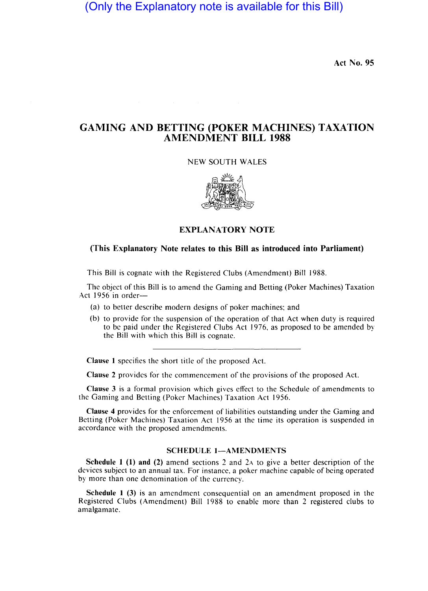(Only the Explanatory note is available for this Bill)

Act No. 95

## GAMING AND BETTING (POKER MACHINES) TAXATION AMENDMENT BILL 1988

NEW SOUTH WALES



## EXPLANATORY NOTE

## (This Explanatory Note relates to this Bill as introduced into Parliament)

This Bill is cognate with the Registered Clubs (Amendment) Bill 1988.

The object of this Bill is to amend the Gaming and Betting (Poker Machines) Taxation Act 1956 in order-

- (a) to better describe modern designs of poker machines; and
- (b) to provide for the suspension of the operation of that Act when duty is required to be paid under the Registered Clubs Act 1976. as proposed to be amended by the Bill with which this Bill is cognate.

Clause I specifies the short title of the proposed Act.

Clause 2 provides for the commencement of the provisions of the proposed Act.

Clause 3 is a formal provision which gives effect to the Schedule of amendments to the Gaming and Betting (Poker Machines) Taxation Act 1956.

Clause 4 provides for the enforcement of liabilities outstanding under the Gaming and Betting (Poker Machines) Taxation Act 1956 at the time its operation is suspended in accordance with the proposed amendments.

## SCHEDULE 1-AMENDMENTS

Schedule I (1) and (2) amend sections 2 and 2A to give a better description of the devices subject to an annual tax. For instance. a poker machine capable of being operated by more than one denomination of the currency.

Schedule 1 (3) is an amendment consequential on an amendment proposed in the Registered Clubs (Amendment) Bill 1988 to enable more than 2 registered clubs to amalgamate.